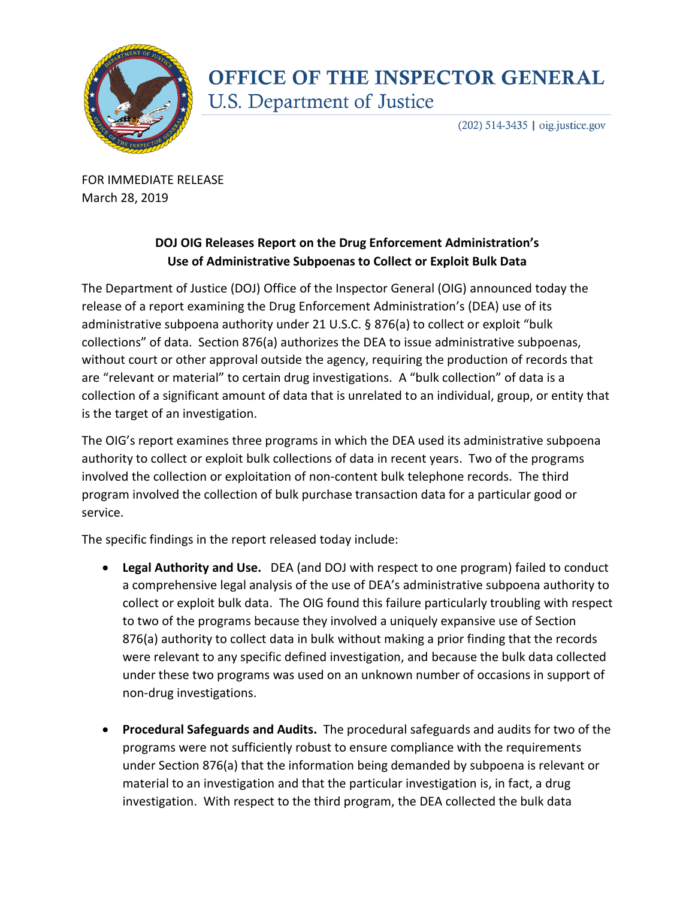

## **OFFICE OF THE INSPECTOR GENERAL U.S. Department of Justice**

(202) 514-3435 | oig.justice.gov

FOR IMMEDIATE RELEASE March 28, 2019

## **DOJ OIG Releases Report on the Drug Enforcement Administration's Use of Administrative Subpoenas to Collect or Exploit Bulk Data**

The Department of Justice (DOJ) Office of the Inspector General (OIG) announced today the release of a report examining the Drug Enforcement Administration's (DEA) use of its administrative subpoena authority under 21 U.S.C. § 876(a) to collect or exploit "bulk collections" of data. Section 876(a) authorizes the DEA to issue administrative subpoenas, without court or other approval outside the agency, requiring the production of records that are "relevant or material" to certain drug investigations. A "bulk collection" of data is a collection of a significant amount of data that is unrelated to an individual, group, or entity that is the target of an investigation.

The OIG's report examines three programs in which the DEA used its administrative subpoena authority to collect or exploit bulk collections of data in recent years. Two of the programs involved the collection or exploitation of non-content bulk telephone records. The third program involved the collection of bulk purchase transaction data for a particular good or service.

The specific findings in the report released today include:

- **Legal Authority and Use.** DEA (and DOJ with respect to one program) failed to conduct a comprehensive legal analysis of the use of DEA's administrative subpoena authority to collect or exploit bulk data. The OIG found this failure particularly troubling with respect to two of the programs because they involved a uniquely expansive use of Section 876(a) authority to collect data in bulk without making a prior finding that the records were relevant to any specific defined investigation, and because the bulk data collected under these two programs was used on an unknown number of occasions in support of non-drug investigations.
- **Procedural Safeguards and Audits.** The procedural safeguards and audits for two of the programs were not sufficiently robust to ensure compliance with the requirements under Section 876(a) that the information being demanded by subpoena is relevant or material to an investigation and that the particular investigation is, in fact, a drug investigation. With respect to the third program, the DEA collected the bulk data